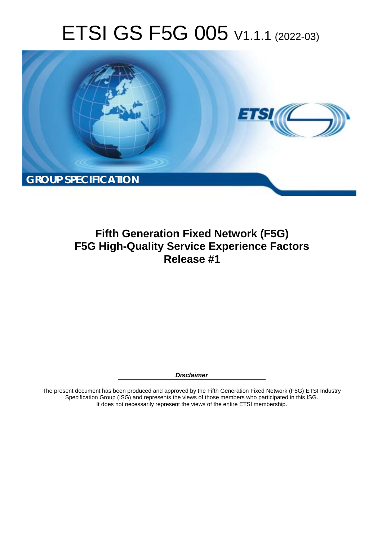# ETSI GS F5G 005 V1.1.1 (2022-03)



**Fifth Generation Fixed Network (F5G) F5G High-Quality Service Experience Factors Release #1** 

*Disclaimer* 

The present document has been produced and approved by the Fifth Generation Fixed Network (F5G) ETSI Industry Specification Group (ISG) and represents the views of those members who participated in this ISG. It does not necessarily represent the views of the entire ETSI membership.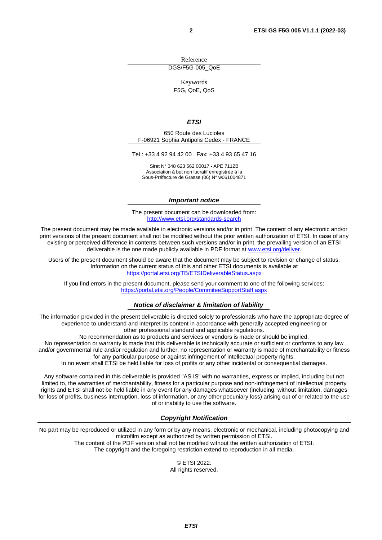Reference DGS/F5G-005\_QoE

Keywords F5G, QoE, QoS

#### *ETSI*

650 Route des Lucioles F-06921 Sophia Antipolis Cedex - FRANCE

Tel.: +33 4 92 94 42 00 Fax: +33 4 93 65 47 16

Siret N° 348 623 562 00017 - APE 7112B Association à but non lucratif enregistrée à la Sous-Préfecture de Grasse (06) N° w061004871

#### *Important notice*

The present document can be downloaded from: <http://www.etsi.org/standards-search>

The present document may be made available in electronic versions and/or in print. The content of any electronic and/or print versions of the present document shall not be modified without the prior written authorization of ETSI. In case of any existing or perceived difference in contents between such versions and/or in print, the prevailing version of an ETSI deliverable is the one made publicly available in PDF format at [www.etsi.org/deliver](http://www.etsi.org/deliver).

Users of the present document should be aware that the document may be subject to revision or change of status. Information on the current status of this and other ETSI documents is available at <https://portal.etsi.org/TB/ETSIDeliverableStatus.aspx>

If you find errors in the present document, please send your comment to one of the following services: <https://portal.etsi.org/People/CommiteeSupportStaff.aspx>

#### *Notice of disclaimer & limitation of liability*

The information provided in the present deliverable is directed solely to professionals who have the appropriate degree of experience to understand and interpret its content in accordance with generally accepted engineering or other professional standard and applicable regulations.

No recommendation as to products and services or vendors is made or should be implied.

No representation or warranty is made that this deliverable is technically accurate or sufficient or conforms to any law and/or governmental rule and/or regulation and further, no representation or warranty is made of merchantability or fitness for any particular purpose or against infringement of intellectual property rights.

In no event shall ETSI be held liable for loss of profits or any other incidental or consequential damages.

Any software contained in this deliverable is provided "AS IS" with no warranties, express or implied, including but not limited to, the warranties of merchantability, fitness for a particular purpose and non-infringement of intellectual property rights and ETSI shall not be held liable in any event for any damages whatsoever (including, without limitation, damages for loss of profits, business interruption, loss of information, or any other pecuniary loss) arising out of or related to the use of or inability to use the software.

#### *Copyright Notification*

No part may be reproduced or utilized in any form or by any means, electronic or mechanical, including photocopying and microfilm except as authorized by written permission of ETSI. The content of the PDF version shall not be modified without the written authorization of ETSI.

The copyright and the foregoing restriction extend to reproduction in all media.

© ETSI 2022. All rights reserved.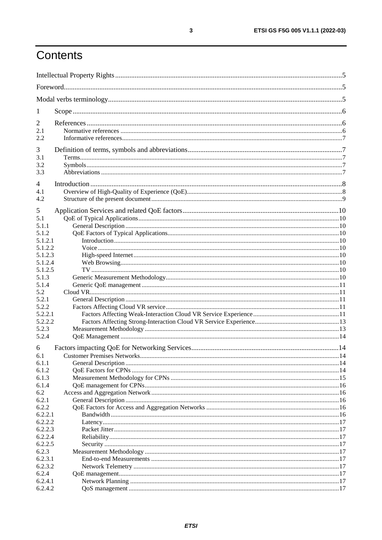## Contents

| $\mathbf{I}$     |  |  |  |  |  |
|------------------|--|--|--|--|--|
| 2                |  |  |  |  |  |
| 2.1              |  |  |  |  |  |
| 2.2              |  |  |  |  |  |
|                  |  |  |  |  |  |
| 3                |  |  |  |  |  |
| 3.1              |  |  |  |  |  |
| 3.2              |  |  |  |  |  |
| 3.3              |  |  |  |  |  |
| $\overline{4}$   |  |  |  |  |  |
| 4.1              |  |  |  |  |  |
| 4.2              |  |  |  |  |  |
|                  |  |  |  |  |  |
| 5                |  |  |  |  |  |
| 5.1              |  |  |  |  |  |
| 5.1.1            |  |  |  |  |  |
| 5.1.2<br>5.1.2.1 |  |  |  |  |  |
| 5.1.2.2          |  |  |  |  |  |
| 5.1.2.3          |  |  |  |  |  |
| 5.1.2.4          |  |  |  |  |  |
| 5.1.2.5          |  |  |  |  |  |
| 5.1.3            |  |  |  |  |  |
| 5.1.4            |  |  |  |  |  |
| 5.2              |  |  |  |  |  |
| 5.2.1            |  |  |  |  |  |
| 5.2.2            |  |  |  |  |  |
| 5.2.2.1          |  |  |  |  |  |
| 5.2.2.2          |  |  |  |  |  |
| 5.2.3            |  |  |  |  |  |
| 5.2.4            |  |  |  |  |  |
| 6                |  |  |  |  |  |
|                  |  |  |  |  |  |
| 6.1<br>6.1.1     |  |  |  |  |  |
| 6.1.2            |  |  |  |  |  |
| 6.1.3            |  |  |  |  |  |
| 6.1.4            |  |  |  |  |  |
| 6.2              |  |  |  |  |  |
| 6.2.1            |  |  |  |  |  |
| 6.2.2            |  |  |  |  |  |
| 6.2.2.1          |  |  |  |  |  |
| 6.2.2.2          |  |  |  |  |  |
| 6.2.2.3          |  |  |  |  |  |
| 6.2.2.4          |  |  |  |  |  |
| 6.2.2.5          |  |  |  |  |  |
| 6.2.3            |  |  |  |  |  |
| 6.2.3.1          |  |  |  |  |  |
| 6.2.3.2          |  |  |  |  |  |
| 6.2.4            |  |  |  |  |  |
| 6.2.4.1          |  |  |  |  |  |
| 6.2.4.2          |  |  |  |  |  |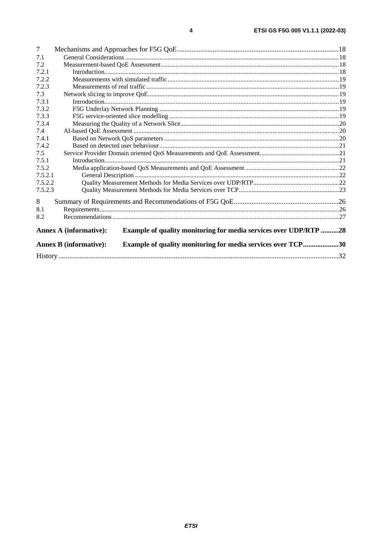| 7       |                                                                                                          |  |  |  |  |  |  |
|---------|----------------------------------------------------------------------------------------------------------|--|--|--|--|--|--|
| 7.1     |                                                                                                          |  |  |  |  |  |  |
| 7.2     |                                                                                                          |  |  |  |  |  |  |
| 7.2.1   |                                                                                                          |  |  |  |  |  |  |
| 7.2.2   |                                                                                                          |  |  |  |  |  |  |
| 7.2.3   |                                                                                                          |  |  |  |  |  |  |
| 7.3     |                                                                                                          |  |  |  |  |  |  |
| 7.3.1   |                                                                                                          |  |  |  |  |  |  |
| 7.3.2   |                                                                                                          |  |  |  |  |  |  |
| 7.3.3   |                                                                                                          |  |  |  |  |  |  |
| 7.3.4   |                                                                                                          |  |  |  |  |  |  |
| 7.4     |                                                                                                          |  |  |  |  |  |  |
| 7.4.1   |                                                                                                          |  |  |  |  |  |  |
| 7.4.2   |                                                                                                          |  |  |  |  |  |  |
| 7.5     |                                                                                                          |  |  |  |  |  |  |
| 7.5.1   |                                                                                                          |  |  |  |  |  |  |
| 7.5.2   |                                                                                                          |  |  |  |  |  |  |
| 7.5.2.1 |                                                                                                          |  |  |  |  |  |  |
| 7.5.2.2 |                                                                                                          |  |  |  |  |  |  |
| 7.5.2.3 |                                                                                                          |  |  |  |  |  |  |
| 8       |                                                                                                          |  |  |  |  |  |  |
| 8.1     |                                                                                                          |  |  |  |  |  |  |
| 8.2     |                                                                                                          |  |  |  |  |  |  |
|         |                                                                                                          |  |  |  |  |  |  |
|         | <b>Annex A (informative):</b><br><b>Example of quality monitoring for media services over UDP/RTP 28</b> |  |  |  |  |  |  |
|         | <b>Example of quality monitoring for media services over TCP30</b><br><b>Annex B</b> (informative):      |  |  |  |  |  |  |
|         |                                                                                                          |  |  |  |  |  |  |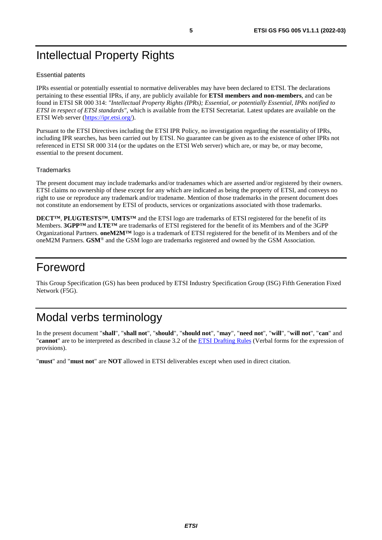## <span id="page-4-0"></span>Intellectual Property Rights

#### Essential patents

IPRs essential or potentially essential to normative deliverables may have been declared to ETSI. The declarations pertaining to these essential IPRs, if any, are publicly available for **ETSI members and non-members**, and can be found in ETSI SR 000 314: *"Intellectual Property Rights (IPRs); Essential, or potentially Essential, IPRs notified to ETSI in respect of ETSI standards"*, which is available from the ETSI Secretariat. Latest updates are available on the ETSI Web server [\(https://ipr.etsi.org/](https://ipr.etsi.org/)).

Pursuant to the ETSI Directives including the ETSI IPR Policy, no investigation regarding the essentiality of IPRs, including IPR searches, has been carried out by ETSI. No guarantee can be given as to the existence of other IPRs not referenced in ETSI SR 000 314 (or the updates on the ETSI Web server) which are, or may be, or may become, essential to the present document.

#### **Trademarks**

The present document may include trademarks and/or tradenames which are asserted and/or registered by their owners. ETSI claims no ownership of these except for any which are indicated as being the property of ETSI, and conveys no right to use or reproduce any trademark and/or tradename. Mention of those trademarks in the present document does not constitute an endorsement by ETSI of products, services or organizations associated with those trademarks.

**DECT™**, **PLUGTESTS™**, **UMTS™** and the ETSI logo are trademarks of ETSI registered for the benefit of its Members. **3GPP™** and **LTE™** are trademarks of ETSI registered for the benefit of its Members and of the 3GPP Organizational Partners. **oneM2M™** logo is a trademark of ETSI registered for the benefit of its Members and of the oneM2M Partners. **GSM**® and the GSM logo are trademarks registered and owned by the GSM Association.

## Foreword

This Group Specification (GS) has been produced by ETSI Industry Specification Group (ISG) Fifth Generation Fixed Network (F5G).

## Modal verbs terminology

In the present document "**shall**", "**shall not**", "**should**", "**should not**", "**may**", "**need not**", "**will**", "**will not**", "**can**" and "**cannot**" are to be interpreted as described in clause 3.2 of the [ETSI Drafting Rules](https://portal.etsi.org/Services/editHelp!/Howtostart/ETSIDraftingRules.aspx) (Verbal forms for the expression of provisions).

"**must**" and "**must not**" are **NOT** allowed in ETSI deliverables except when used in direct citation.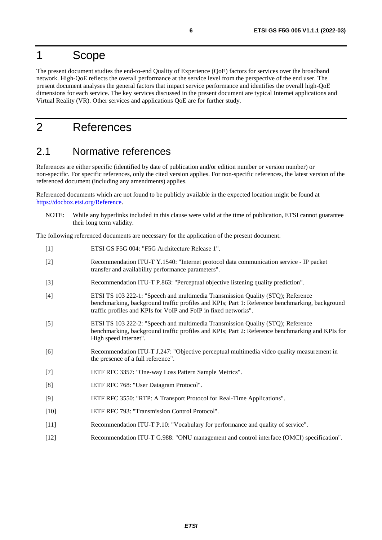## <span id="page-5-0"></span>1 Scope

The present document studies the end-to-end Quality of Experience (QoE) factors for services over the broadband network. High-QoE reflects the overall performance at the service level from the perspective of the end user. The present document analyses the general factors that impact service performance and identifies the overall high-QoE dimensions for each service. The key services discussed in the present document are typical Internet applications and Virtual Reality (VR). Other services and applications QoE are for further study.

## 2 References

## 2.1 Normative references

References are either specific (identified by date of publication and/or edition number or version number) or non-specific. For specific references, only the cited version applies. For non-specific references, the latest version of the referenced document (including any amendments) applies.

Referenced documents which are not found to be publicly available in the expected location might be found at [https://docbox.etsi.org/Reference](https://docbox.etsi.org/Reference/).

NOTE: While any hyperlinks included in this clause were valid at the time of publication, ETSI cannot guarantee their long term validity.

The following referenced documents are necessary for the application of the present document.

[1] ETSI GS F5G 004: "F5G Architecture Release 1". [2] Recommendation ITU-T Y.1540: "Internet protocol data communication service - IP packet transfer and availability performance parameters". [3] Recommendation ITU-T P.863: "Perceptual objective listening quality prediction". [4] ETSI TS 103 222-1: "Speech and multimedia Transmission Quality (STQ); Reference benchmarking, background traffic profiles and KPIs; Part 1: Reference benchmarking, background traffic profiles and KPIs for VoIP and FoIP in fixed networks". [5] ETSI TS 103 222-2: "Speech and multimedia Transmission Quality (STQ); Reference benchmarking, background traffic profiles and KPIs; Part 2: Reference benchmarking and KPIs for High speed internet". [6] Recommendation ITU-T J.247: "Objective perceptual multimedia video quality measurement in the presence of a full reference". [7] IETF RFC 3357: "One-way Loss Pattern Sample Metrics". [8] IETF RFC 768: "User Datagram Protocol". [9] IETF RFC 3550: "RTP: A Transport Protocol for Real-Time Applications". [10] IETF RFC 793: "Transmission Control Protocol". [11] Recommendation ITU-T P.10: "Vocabulary for performance and quality of service". [12] Recommendation ITU-T G.988: "ONU management and control interface (OMCI) specification".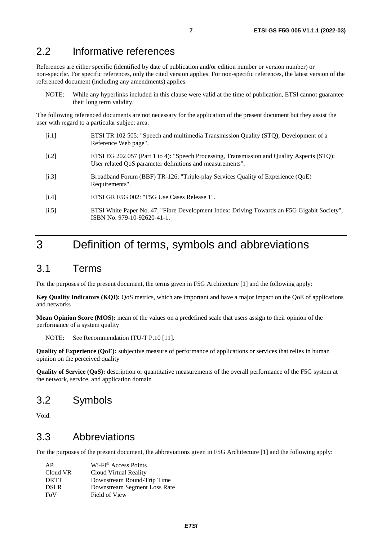## <span id="page-6-0"></span>2.2 Informative references

References are either specific (identified by date of publication and/or edition number or version number) or non-specific. For specific references, only the cited version applies. For non-specific references, the latest version of the referenced document (including any amendments) applies.

NOTE: While any hyperlinks included in this clause were valid at the time of publication, ETSI cannot guarantee their long term validity.

The following referenced documents are not necessary for the application of the present document but they assist the user with regard to a particular subject area.

- [i.1] ETSI TR 102 505: "Speech and multimedia Transmission Quality (STQ); Development of a Reference Web page".
- [i.2] ETSI EG 202 057 (Part 1 to 4): "Speech Processing, Transmission and Quality Aspects (STQ); User related QoS parameter definitions and measurements".
- [i.3] Broadband Forum (BBF) TR-126: "Triple-play Services Quality of Experience (QoE) Requirements".
- [i.4] ETSI GR F5G 002: "F5G Use Cases Release 1".
- [i.5] ETSI White Paper No. 47, "Fibre Development Index: Driving Towards an F5G Gigabit Society", ISBN No. 979-10-92620-41-1.

## 3 Definition of terms, symbols and abbreviations

### 3.1 Terms

For the purposes of the present document, the terms given in F5G Architecture [\[1](#page-5-0)] and the following apply:

**Key Quality Indicators (KQI):** QoS metrics, which are important and have a major impact on the QoE of applications and networks

**Mean Opinion Score (MOS):** mean of the values on a predefined scale that users assign to their opinion of the performance of a system quality

NOTE: See Recommendation ITU-T P.10 [\[11](#page-5-0)].

**Quality of Experience (QoE):** subjective measure of performance of applications or services that relies in human opinion on the perceived quality

**Quality of Service (QoS):** description or quantitative measurements of the overall performance of the F5G system at the network, service, and application domain

### 3.2 Symbols

Void.

## 3.3 Abbreviations

For the purposes of the present document, the abbreviations given in F5G Architecture [\[1](#page-5-0)] and the following apply:

| AP          | Wi-Fi <sup>®</sup> Access Points |
|-------------|----------------------------------|
| Cloud VR    | Cloud Virtual Reality            |
| <b>DRTT</b> | Downstream Round-Trip Time       |
| <b>DSLR</b> | Downstream Segment Loss Rate     |
| FoV         | Field of View                    |

*ETSI*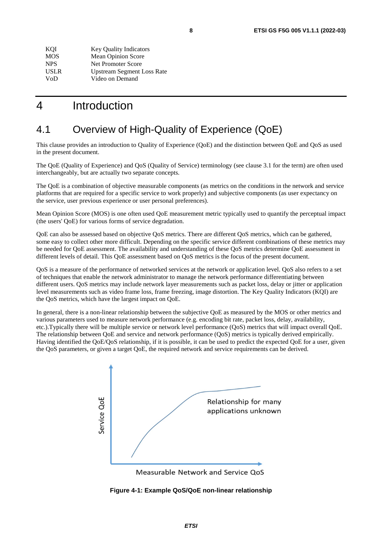<span id="page-7-0"></span>

| KOI        | <b>Key Quality Indicators</b>     |
|------------|-----------------------------------|
| <b>MOS</b> | <b>Mean Opinion Score</b>         |
| <b>NPS</b> | Net Promoter Score                |
| USLR       | <b>Upstream Segment Loss Rate</b> |
| VoD        | Video on Demand                   |

## 4 Introduction

## 4.1 Overview of High-Quality of Experience (QoE)

This clause provides an introduction to Quality of Experience (QoE) and the distinction between QoE and QoS as used in the present document.

The QoE (Quality of Experience) and QoS (Quality of Service) terminology (see clause 3.1 for the term) are often used interchangeably, but are actually two separate concepts.

The QoE is a combination of objective measurable components (as metrics on the conditions in the network and service platforms that are required for a specific service to work properly) and subjective components (as user expectancy on the service, user previous experience or user personal preferences).

Mean Opinion Score (MOS) is one often used QoE measurement metric typically used to quantify the perceptual impact (the users' QoE) for various forms of service degradation.

QoE can also be assessed based on objective QoS metrics. There are different QoS metrics, which can be gathered, some easy to collect other more difficult. Depending on the specific service different combinations of these metrics may be needed for QoE assessment. The availability and understanding of these QoS metrics determine QoE assessment in different levels of detail. This QoE assessment based on QoS metrics is the focus of the present document.

QoS is a measure of the performance of networked services at the network or application level. QoS also refers to a set of techniques that enable the network administrator to manage the network performance differentiating between different users. QoS metrics may include network layer measurements such as packet loss, delay or jitter or application level measurements such as video frame loss, frame freezing, image distortion. The Key Quality Indicators (KQI) are the QoS metrics, which have the largest impact on QoE.

In general, there is a non-linear relationship between the subjective QoE as measured by the MOS or other metrics and various parameters used to measure network performance (e.g. encoding bit rate, packet loss, delay, availability, etc.).Typically there will be multiple service or network level performance (QoS) metrics that will impact overall QoE. The relationship between QoE and service and network performance (QoS) metrics is typically derived empirically. Having identified the QoE/QoS relationship, if it is possible, it can be used to predict the expected QoE for a user, given the QoS parameters, or given a target QoE, the required network and service requirements can be derived.



Measurable Network and Service QoS

**Figure 4-1: Example QoS/QoE non-linear relationship**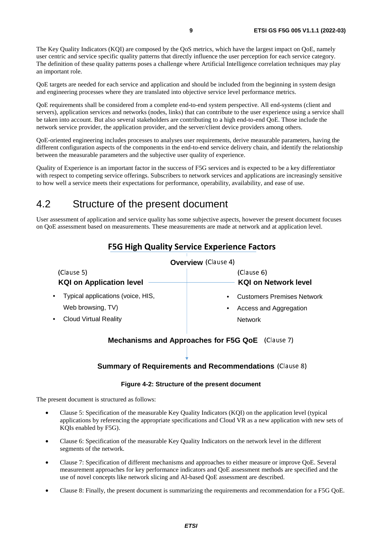<span id="page-8-0"></span>The Key Quality Indicators (KQI) are composed by the QoS metrics, which have the largest impact on QoE, namely user centric and service specific quality patterns that directly influence the user perception for each service category. The definition of these quality patterns poses a challenge where Artificial Intelligence correlation techniques may play an important role.

QoE targets are needed for each service and application and should be included from the beginning in system design and engineering processes where they are translated into objective service level performance metrics.

QoE requirements shall be considered from a complete end-to-end system perspective. All end-systems (client and servers), application services and networks (nodes, links) that can contribute to the user experience using a service shall be taken into account. But also several stakeholders are contributing to a high end-to-end QoE. Those include the network service provider, the application provider, and the server/client device providers among others.

QoE-oriented engineering includes processes to analyses user requirements, derive measurable parameters, having the different configuration aspects of the components in the end-to-end service delivery chain, and identify the relationship between the measurable parameters and the subjective user quality of experience.

Quality of Experience is an important factor in the success of F5G services and is expected to be a key differentiator with respect to competing service offerings. Subscribers to network services and applications are increasingly sensitive to how well a service meets their expectations for performance, operability, availability, and ease of use.

## 4.2 Structure of the present document

User assessment of application and service quality has some subjective aspects, however the present document focuses on QoE assessment based on measurements. These measurements are made at network and at application level.

|                                               | <b>Overview</b> (Clause 4)                     |
|-----------------------------------------------|------------------------------------------------|
| (Clause 5)<br><b>KQI on Application level</b> | (Clause 6)<br><b>KQI on Network level</b>      |
|                                               |                                                |
| Typical applications (voice, HIS,             | <b>Customers Premises Network</b><br>$\bullet$ |
| Web browsing, TV)                             | Access and Aggregation<br>٠                    |
| <b>Cloud Virtual Reality</b>                  | <b>Network</b>                                 |

### F5G High Quality Service Experience Factors

## **Mechanisms and Approaches for F5G QoE** (Clause 7)

## **Summary of Requirements and Recommendations** (Clause 8)

#### **Figure 4-2: Structure of the present document**

The present document is structured as follows:

- Clause 5: Specification of the measurable Key Quality Indicators (KQI) on the application level (typical applications by referencing the appropriate specifications and Cloud VR as a new application with new sets of KQIs enabled by F5G).
- Clause 6: Specification of the measurable Key Quality Indicators on the network level in the different segments of the network.
- Clause 7: Specification of different mechanisms and approaches to either measure or improve QoE. Several measurement approaches for key performance indicators and QoE assessment methods are specified and the use of novel concepts like network slicing and AI-based QoE assessment are described.
- Clause 8: Finally, the present document is summarizing the requirements and recommendation for a F5G QoE.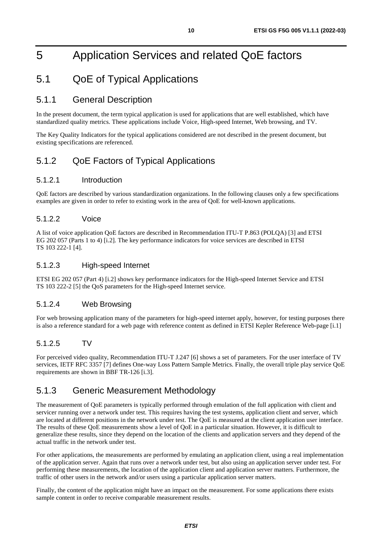## <span id="page-9-0"></span>5 Application Services and related QoE factors

## 5.1 QoE of Typical Applications

### 5.1.1 General Description

In the present document, the term typical application is used for applications that are well established, which have standardized quality metrics. These applications include Voice, High-speed Internet, Web browsing, and TV.

The Key Quality Indicators for the typical applications considered are not described in the present document, but existing specifications are referenced.

## 5.1.2 QoE Factors of Typical Applications

#### 5.1.2.1 Introduction

QoE factors are described by various standardization organizations. In the following clauses only a few specifications examples are given in order to refer to existing work in the area of QoE for well-known applications.

#### 5.1.2.2 Voice

A list of voice application QoE factors are described in Recommendation ITU-T P.863 (POLQA) [\[3](#page-5-0)] and ETSI EG 202 057 (Parts 1 to 4) [\[i.2](#page-6-0)]. The key performance indicators for voice services are described in ETSI TS 103 222-1 [\[4](#page-5-0)].

#### 5.1.2.3 High-speed Internet

ETSI EG 202 057 (Part 4) [\[i.2](#page-6-0)] shows key performance indicators for the High-speed Internet Service and ETSI TS 103 222-2 [\[5](#page-5-0)] the QoS parameters for the High-speed Internet service.

#### 5.1.2.4 Web Browsing

For web browsing application many of the parameters for high-speed internet apply, however, for testing purposes there is also a reference standard for a web page with reference content as defined in ETSI Kepler Reference Web-page [\[i.1](#page-6-0)]

#### 5.1.2.5 TV

For perceived video quality, Recommendation ITU-T J.247 [\[6](#page-5-0)] shows a set of parameters. For the user interface of TV services, IETF RFC 3357 [\[7](#page-5-0)] defines One-way Loss Pattern Sample Metrics. Finally, the overall triple play service QoE requirements are shown in BBF TR-126 [\[i.3](#page-6-0)].

### 5.1.3 Generic Measurement Methodology

The measurement of QoE parameters is typically performed through emulation of the full application with client and servicer running over a network under test. This requires having the test systems, application client and server, which are located at different positions in the network under test. The QoE is measured at the client application user interface. The results of these QoE measurements show a level of QoE in a particular situation. However, it is difficult to generalize these results, since they depend on the location of the clients and application servers and they depend of the actual traffic in the network under test.

For other applications, the measurements are performed by emulating an application client, using a real implementation of the application server. Again that runs over a network under test, but also using an application server under test. For performing these measurements, the location of the application client and application server matters. Furthermore, the traffic of other users in the network and/or users using a particular application server matters.

Finally, the content of the application might have an impact on the measurement. For some applications there exists sample content in order to receive comparable measurement results.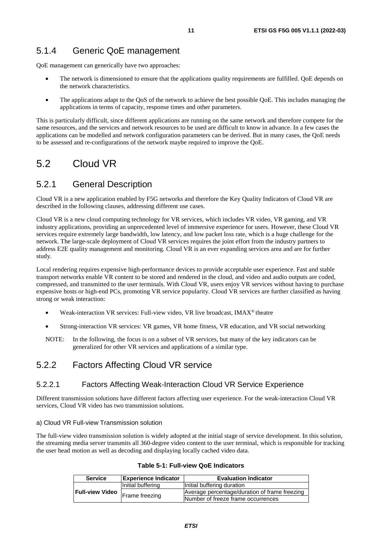### <span id="page-10-0"></span>5.1.4 Generic QoE management

QoE management can generically have two approaches:

- The network is dimensioned to ensure that the applications quality requirements are fulfilled. QoE depends on the network characteristics.
- The applications adapt to the QoS of the network to achieve the best possible QoE. This includes managing the applications in terms of capacity, response times and other parameters.

This is particularly difficult, since different applications are running on the same network and therefore compete for the same resources, and the services and network resources to be used are difficult to know in advance. In a few cases the applications can be modelled and network configuration parameters can be derived. But in many cases, the QoE needs to be assessed and re-configurations of the network maybe required to improve the QoE.

## 5.2 Cloud VR

### 5.2.1 General Description

Cloud VR is a new application enabled by F5G networks and therefore the Key Quality Indicators of Cloud VR are described in the following clauses, addressing different use cases.

Cloud VR is a new cloud computing technology for VR services, which includes VR video, VR gaming, and VR industry applications, providing an unprecedented level of immersive experience for users. However, these Cloud VR services require extremely large bandwidth, low latency, and low packet loss rate, which is a huge challenge for the network. The large-scale deployment of Cloud VR services requires the joint effort from the industry partners to address E2E quality management and monitoring. Cloud VR is an ever expanding services area and are for further study.

Local rendering requires expensive high-performance devices to provide acceptable user experience. Fast and stable transport networks enable VR content to be stored and rendered in the cloud, and video and audio outputs are coded, compressed, and transmitted to the user terminals. With Cloud VR, users enjoy VR services without having to purchase expensive hosts or high-end PCs, promoting VR service popularity. Cloud VR services are further classified as having strong or weak interaction:

- Weak-interaction VR services: Full-view video, VR live broadcast, IMAX® theatre
- Strong-interaction VR services: VR games, VR home fitness, VR education, and VR social networking
- NOTE: In the following, the focus is on a subset of VR services, but many of the key indicators can be generalized for other VR services and applications of a similar type.

### 5.2.2 Factors Affecting Cloud VR service

#### 5.2.2.1 Factors Affecting Weak-Interaction Cloud VR Service Experience

Different transmission solutions have different factors affecting user experience. For the weak-interaction Cloud VR services, Cloud VR video has two transmission solutions.

#### a) Cloud VR Full-view Transmission solution

The full-view video transmission solution is widely adopted at the initial stage of service development. In this solution, the streaming media server transmits all 360-degree video content to the user terminal, which is responsible for tracking the user head motion as well as decoding and displaying locally cached video data.

| <b>Service</b>         | <b>Experience Indicator</b> | <b>Evaluation Indicator</b>                   |  |  |  |  |
|------------------------|-----------------------------|-----------------------------------------------|--|--|--|--|
|                        | Initial buffering           | Initial buffering duration                    |  |  |  |  |
| <b>Full-view Video</b> |                             | Average percentage/duration of frame freezing |  |  |  |  |
|                        | Frame freezing              | Number of freeze frame occurrences            |  |  |  |  |

#### **Table 5-1: Full-view QoE Indicators**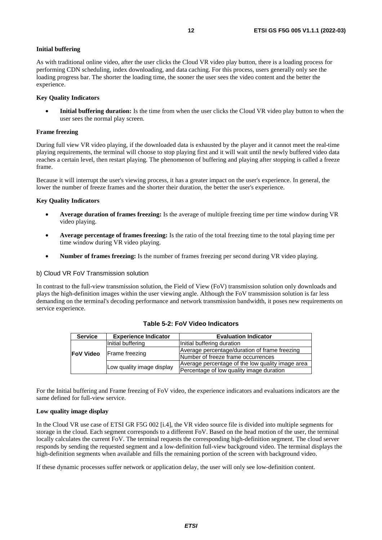#### **Initial buffering**

As with traditional online video, after the user clicks the Cloud VR video play button, there is a loading process for performing CDN scheduling, index downloading, and data caching. For this process, users generally only see the loading progress bar. The shorter the loading time, the sooner the user sees the video content and the better the experience.

#### **Key Quality Indicators**

**Initial buffering duration:** Is the time from when the user clicks the Cloud VR video play button to when the user sees the normal play screen.

#### **Frame freezing**

During full view VR video playing, if the downloaded data is exhausted by the player and it cannot meet the real-time playing requirements, the terminal will choose to stop playing first and it will wait until the newly buffered video data reaches a certain level, then restart playing. The phenomenon of buffering and playing after stopping is called a freeze frame.

Because it will interrupt the user's viewing process, it has a greater impact on the user's experience. In general, the lower the number of freeze frames and the shorter their duration, the better the user's experience.

#### **Key Quality Indicators**

- **Average duration of frames freezing:** Is the average of multiple freezing time per time window during VR video playing.
- **Average percentage of frames freezing:** Is the ratio of the total freezing time to the total playing time per time window during VR video playing.
- **Number of frames freezing:** Is the number of frames freezing per second during VR video playing.

#### b) Cloud VR FoV Transmission solution

In contrast to the full-view transmission solution, the Field of View (FoV) transmission solution only downloads and plays the high-definition images within the user viewing angle. Although the FoV transmission solution is far less demanding on the terminal's decoding performance and network transmission bandwidth, it poses new requirements on service experience.

| <b>Service</b>   | <b>Experience Indicator</b> | <b>Evaluation Indicator</b>                      |
|------------------|-----------------------------|--------------------------------------------------|
|                  | Initial buffering           | Initial buffering duration                       |
|                  | Frame freezing              | Average percentage/duration of frame freezing    |
| <b>FoV Video</b> |                             | Number of freeze frame occurrences               |
|                  |                             | Average percentage of the low quality image area |
|                  | Low quality image display   | Percentage of low quality image duration         |

**Table 5-2: FoV Video Indicators** 

For the Initial buffering and Frame freezing of FoV video, the experience indicators and evaluations indicators are the same defined for full-view service.

#### **Low quality image display**

In the Cloud VR use case of ETSI GR F5G 002 [\[i.4](#page-6-0)], the VR video source file is divided into multiple segments for storage in the cloud. Each segment corresponds to a different FoV. Based on the head motion of the user, the terminal locally calculates the current FoV. The terminal requests the corresponding high-definition segment. The cloud server responds by sending the requested segment and a low-definition full-view background video. The terminal displays the high-definition segments when available and fills the remaining portion of the screen with background video.

If these dynamic processes suffer network or application delay, the user will only see low-definition content.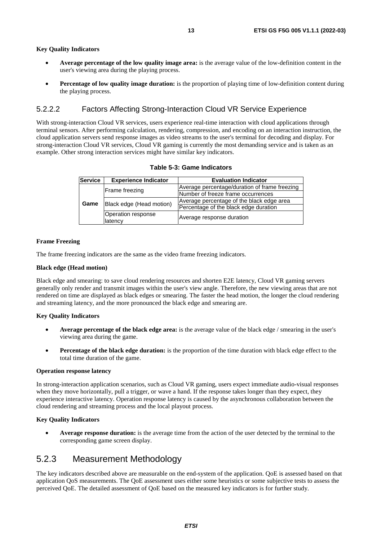#### <span id="page-12-0"></span>**Key Quality Indicators**

- **Average percentage of the low quality image area:** is the average value of the low-definition content in the user's viewing area during the playing process.
- **Percentage of low quality image duration:** is the proportion of playing time of low-definition content during the playing process.

#### 5.2.2.2 Factors Affecting Strong-Interaction Cloud VR Service Experience

With strong-interaction Cloud VR services, users experience real-time interaction with cloud applications through terminal sensors. After performing calculation, rendering, compression, and encoding on an interaction instruction, the cloud application servers send response images as video streams to the user's terminal for decoding and display. For strong-interaction Cloud VR services, Cloud VR gaming is currently the most demanding service and is taken as an example. Other strong interaction services might have similar key indicators.

| Service | <b>Experience Indicator</b>   | <b>Evaluation Indicator</b>                   |  |  |
|---------|-------------------------------|-----------------------------------------------|--|--|
|         |                               | Average percentage/duration of frame freezing |  |  |
|         | Frame freezing                | Number of freeze frame occurrences            |  |  |
| Game    |                               | Average percentage of the black edge area     |  |  |
|         | Black edge (Head motion)      | Percentage of the black edge duration         |  |  |
|         | Operation response<br>latency | Average response duration                     |  |  |

#### **Table 5-3: Game Indicators**

#### **Frame Freezing**

The frame freezing indicators are the same as the video frame freezing indicators.

#### **Black edge (Head motion)**

Black edge and smearing: to save cloud rendering resources and shorten E2E latency, Cloud VR gaming servers generally only render and transmit images within the user's view angle. Therefore, the new viewing areas that are not rendered on time are displayed as black edges or smearing. The faster the head motion, the longer the cloud rendering and streaming latency, and the more pronounced the black edge and smearing are.

#### **Key Quality Indicators**

- **Average percentage of the black edge area:** is the average value of the black edge / smearing in the user's viewing area during the game.
- **Percentage of the black edge duration:** is the proportion of the time duration with black edge effect to the total time duration of the game.

#### **Operation response latency**

In strong-interaction application scenarios, such as Cloud VR gaming, users expect immediate audio-visual responses when they move horizontally, pull a trigger, or wave a hand. If the response takes longer than they expect, they experience interactive latency. Operation response latency is caused by the asynchronous collaboration between the cloud rendering and streaming process and the local playout process.

#### **Key Quality Indicators**

• **Average response duration:** is the average time from the action of the user detected by the terminal to the corresponding game screen display.

### 5.2.3 Measurement Methodology

The key indicators described above are measurable on the end-system of the application. QoE is assessed based on that application QoS measurements. The QoE assessment uses either some heuristics or some subjective tests to assess the perceived QoE. The detailed assessment of QoE based on the measured key indicators is for further study.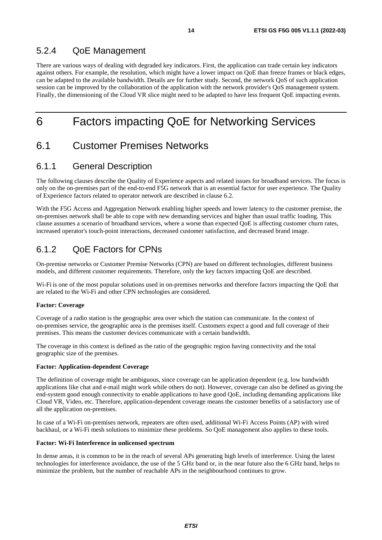### <span id="page-13-0"></span>5.2.4 QoE Management

There are various ways of dealing with degraded key indicators. First, the application can trade certain key indicators against others. For example, the resolution, which might have a lower impact on QoE than freeze frames or black edges, can be adapted to the available bandwidth. Details are for further study. Second, the network QoS of such application session can be improved by the collaboration of the application with the network provider's QoS management system. Finally, the dimensioning of the Cloud VR slice might need to be adapted to have less frequent QoE impacting events.

## 6 Factors impacting QoE for Networking Services

## 6.1 Customer Premises Networks

### 6.1.1 General Description

The following clauses describe the Quality of Experience aspects and related issues for broadband services. The focus is only on the on-premises part of the end-to-end F5G network that is an essential factor for user experience. The Quality of Experience factors related to operator network are described in clause 6.2.

With the F5G Access and Aggregation Network enabling higher speeds and lower latency to the customer premise, the on-premises network shall be able to cope with new demanding services and higher than usual traffic loading. This clause assumes a scenario of broadband services, where a worse than expected QoE is affecting customer churn rates, increased operator's touch-point interactions, decreased customer satisfaction, and decreased brand image.

### 6.1.2 QoE Factors for CPNs

On-premise networks or Customer Premise Networks (CPN) are based on different technologies, different business models, and different customer requirements. Therefore, only the key factors impacting QoE are described.

Wi-Fi is one of the most popular solutions used in on-premises networks and therefore factors impacting the QoE that are related to the Wi-Fi and other CPN technologies are considered.

#### **Factor: Coverage**

Coverage of a radio station is the geographic area over which the station can communicate. In the context of on-premises service, the geographic area is the premises itself. Customers expect a good and full coverage of their premises. This means the customer devices communicate with a certain bandwidth.

The coverage in this context is defined as the ratio of the geographic region having connectivity and the total geographic size of the premises.

#### **Factor: Application-dependent Coverage**

The definition of coverage might be ambiguous, since coverage can be application dependent (e.g. low bandwidth applications like chat and e-mail might work while others do not). However, coverage can also be defined as giving the end-system good enough connectivity to enable applications to have good QoE, including demanding applications like Cloud VR, Video, etc. Therefore, application-dependent coverage means the customer benefits of a satisfactory use of all the application on-premises.

In case of a Wi-Fi on-premises network, repeaters are often used, additional Wi-Fi Access Points (AP) with wired backhaul, or a Wi-Fi mesh solutions to minimize these problems. So QoE management also applies to these tools.

#### **Factor: Wi-Fi Interference in unlicensed spectrum**

In dense areas, it is common to be in the reach of several APs generating high levels of interference. Using the latest technologies for interference avoidance, the use of the 5 GHz band or, in the near future also the 6 GHz band, helps to minimize the problem, but the number of reachable APs in the neighbourhood continues to grow.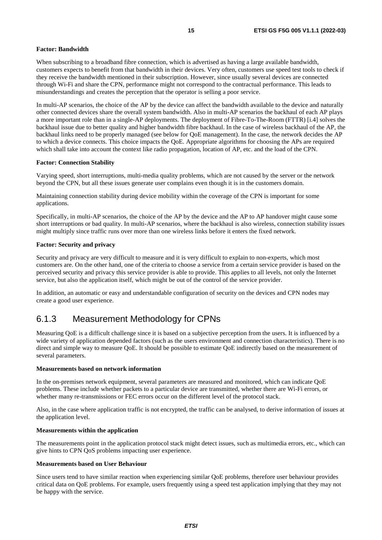#### <span id="page-14-0"></span>**Factor: Bandwidth**

When subscribing to a broadband fibre connection, which is advertised as having a large available bandwidth, customers expects to benefit from that bandwidth in their devices. Very often, customers use speed test tools to check if they receive the bandwidth mentioned in their subscription. However, since usually several devices are connected through Wi-Fi and share the CPN, performance might not correspond to the contractual performance. This leads to misunderstandings and creates the perception that the operator is selling a poor service.

In multi-AP scenarios, the choice of the AP by the device can affect the bandwidth available to the device and naturally other connected devices share the overall system bandwidth. Also in multi-AP scenarios the backhaul of each AP plays a more important role than in a single-AP deployments. The deployment of Fibre-To-The-Room (FTTR) [\[i.4](#page-6-0)] solves the backhaul issue due to better quality and higher bandwidth fibre backhaul. In the case of wireless backhaul of the AP, the backhaul links need to be properly managed (see below for QoE management). In the case, the network decides the AP to which a device connects. This choice impacts the QoE. Appropriate algorithms for choosing the APs are required which shall take into account the context like radio propagation, location of AP, etc. and the load of the CPN.

#### **Factor: Connection Stability**

Varying speed, short interruptions, multi-media quality problems, which are not caused by the server or the network beyond the CPN, but all these issues generate user complains even though it is in the customers domain.

Maintaining connection stability during device mobility within the coverage of the CPN is important for some applications.

Specifically, in multi-AP scenarios, the choice of the AP by the device and the AP to AP handover might cause some short interruptions or bad quality. In multi-AP scenarios, where the backhaul is also wireless, connection stability issues might multiply since traffic runs over more than one wireless links before it enters the fixed network.

#### **Factor: Security and privacy**

Security and privacy are very difficult to measure and it is very difficult to explain to non-experts, which most customers are. On the other hand, one of the criteria to choose a service from a certain service provider is based on the perceived security and privacy this service provider is able to provide. This applies to all levels, not only the Internet service, but also the application itself, which might be out of the control of the service provider.

In addition, an automatic or easy and understandable configuration of security on the devices and CPN nodes may create a good user experience.

### 6.1.3 Measurement Methodology for CPNs

Measuring QoE is a difficult challenge since it is based on a subjective perception from the users. It is influenced by a wide variety of application depended factors (such as the users environment and connection characteristics). There is no direct and simple way to measure QoE. It should be possible to estimate QoE indirectly based on the measurement of several parameters.

#### **Measurements based on network information**

In the on-premises network equipment, several parameters are measured and monitored, which can indicate QoE problems. These include whether packets to a particular device are transmitted, whether there are Wi-Fi errors, or whether many re-transmissions or FEC errors occur on the different level of the protocol stack.

Also, in the case where application traffic is not encrypted, the traffic can be analysed, to derive information of issues at the application level.

#### **Measurements within the application**

The measurements point in the application protocol stack might detect issues, such as multimedia errors, etc., which can give hints to CPN QoS problems impacting user experience.

#### **Measurements based on User Behaviour**

Since users tend to have similar reaction when experiencing similar QoE problems, therefore user behaviour provides critical data on QoE problems. For example, users frequently using a speed test application implying that they may not be happy with the service.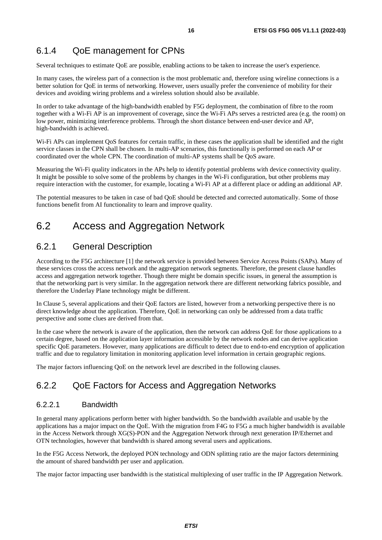### <span id="page-15-0"></span>6.1.4 QoE management for CPNs

Several techniques to estimate QoE are possible, enabling actions to be taken to increase the user's experience.

In many cases, the wireless part of a connection is the most problematic and, therefore using wireline connections is a better solution for QoE in terms of networking. However, users usually prefer the convenience of mobility for their devices and avoiding wiring problems and a wireless solution should also be available.

In order to take advantage of the high-bandwidth enabled by F5G deployment, the combination of fibre to the room together with a Wi-Fi AP is an improvement of coverage, since the Wi-Fi APs serves a restricted area (e.g. the room) on low power, minimizing interference problems. Through the short distance between end-user device and AP, high-bandwidth is achieved.

Wi-Fi APs can implement QoS features for certain traffic, in these cases the application shall be identified and the right service classes in the CPN shall be chosen. In multi-AP scenarios, this functionally is performed on each AP or coordinated over the whole CPN. The coordination of multi-AP systems shall be QoS aware.

Measuring the Wi-Fi quality indicators in the APs help to identify potential problems with device connectivity quality. It might be possible to solve some of the problems by changes in the Wi-Fi configuration, but other problems may require interaction with the customer, for example, locating a Wi-Fi AP at a different place or adding an additional AP.

The potential measures to be taken in case of bad QoE should be detected and corrected automatically. Some of those functions benefit from AI functionality to learn and improve quality.

## 6.2 Access and Aggregation Network

### 6.2.1 General Description

According to the F5G architecture [\[1](#page-5-0)] the network service is provided between Service Access Points (SAPs). Many of these services cross the access network and the aggregation network segments. Therefore, the present clause handles access and aggregation network together. Though there might be domain specific issues, in general the assumption is that the networking part is very similar. In the aggregation network there are different networking fabrics possible, and therefore the Underlay Plane technology might be different.

In Clause 5, several applications and their QoE factors are listed, however from a networking perspective there is no direct knowledge about the application. Therefore, QoE in networking can only be addressed from a data traffic perspective and some clues are derived from that.

In the case where the network is aware of the application, then the network can address QoE for those applications to a certain degree, based on the application layer information accessible by the network nodes and can derive application specific QoE parameters. However, many applications are difficult to detect due to end-to-end encryption of application traffic and due to regulatory limitation in monitoring application level information in certain geographic regions.

The major factors influencing QoE on the network level are described in the following clauses.

### 6.2.2 QoE Factors for Access and Aggregation Networks

#### 6.2.2.1 Bandwidth

In general many applications perform better with higher bandwidth. So the bandwidth available and usable by the applications has a major impact on the QoE. With the migration from F4G to F5G a much higher bandwidth is available in the Access Network through XG(S)-PON and the Aggregation Network through next generation IP/Ethernet and OTN technologies, however that bandwidth is shared among several users and applications.

In the F5G Access Network, the deployed PON technology and ODN splitting ratio are the major factors determining the amount of shared bandwidth per user and application.

The major factor impacting user bandwidth is the statistical multiplexing of user traffic in the IP Aggregation Network.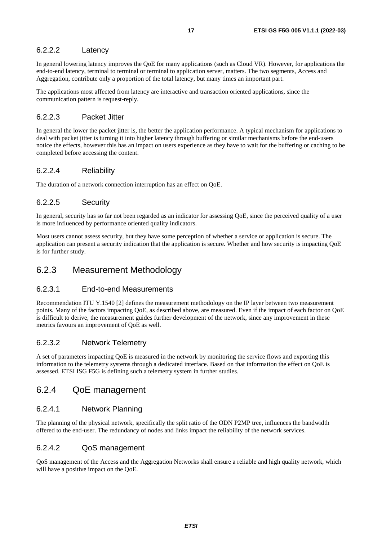### <span id="page-16-0"></span>6.2.2.2 Latency

In general lowering latency improves the QoE for many applications (such as Cloud VR). However, for applications the end-to-end latency, terminal to terminal or terminal to application server, matters. The two segments, Access and Aggregation, contribute only a proportion of the total latency, but many times an important part.

The applications most affected from latency are interactive and transaction oriented applications, since the communication pattern is request-reply.

#### 6.2.2.3 Packet Jitter

In general the lower the packet jitter is, the better the application performance. A typical mechanism for applications to deal with packet jitter is turning it into higher latency through buffering or similar mechanisms before the end-users notice the effects, however this has an impact on users experience as they have to wait for the buffering or caching to be completed before accessing the content.

#### 6.2.2.4 Reliability

The duration of a network connection interruption has an effect on QoE.

#### 6.2.2.5 Security

In general, security has so far not been regarded as an indicator for assessing QoE, since the perceived quality of a user is more influenced by performance oriented quality indicators.

Most users cannot assess security, but they have some perception of whether a service or application is secure. The application can present a security indication that the application is secure. Whether and how security is impacting QoE is for further study.

### 6.2.3 Measurement Methodology

#### 6.2.3.1 End-to-end Measurements

Recommendation ITU Y.1540 [\[2](#page-5-0)] defines the measurement methodology on the IP layer between two measurement points. Many of the factors impacting QoE, as described above, are measured. Even if the impact of each factor on QoE is difficult to derive, the measurement guides further development of the network, since any improvement in these metrics favours an improvement of QoE as well.

#### 6.2.3.2 Network Telemetry

A set of parameters impacting QoE is measured in the network by monitoring the service flows and exporting this information to the telemetry systems through a dedicated interface. Based on that information the effect on QoE is assessed. ETSI ISG F5G is defining such a telemetry system in further studies.

### 6.2.4 QoE management

#### 6.2.4.1 Network Planning

The planning of the physical network, specifically the split ratio of the ODN P2MP tree, influences the bandwidth offered to the end-user. The redundancy of nodes and links impact the reliability of the network services.

#### 6.2.4.2 QoS management

QoS management of the Access and the Aggregation Networks shall ensure a reliable and high quality network, which will have a positive impact on the QoE.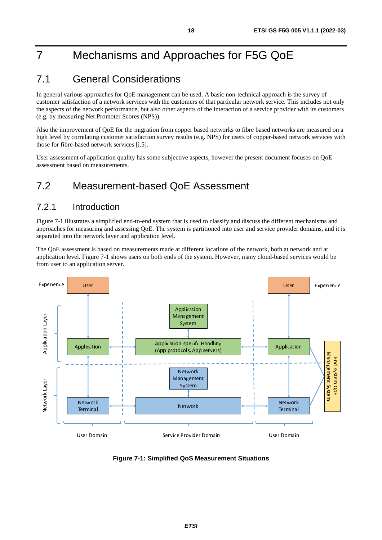## <span id="page-17-0"></span>7 Mechanisms and Approaches for F5G QoE

## 7.1 General Considerations

In general various approaches for QoE management can be used. A basic non-technical approach is the survey of customer satisfaction of a network services with the customers of that particular network service. This includes not only the aspects of the network performance, but also other aspects of the interaction of a service provider with its customers (e.g. by measuring Net Promoter Scores (NPS)).

Also the improvement of QoE for the migration from copper based networks to fibre based networks are measured on a high level by correlating customer satisfaction survey results (e.g. NPS) for users of copper-based network services with those for fibre-based network services [\[i.5](#page-6-0)].

User assessment of application quality has some subjective aspects, however the present document focuses on QoE assessment based on measurements.

## 7.2 Measurement-based QoE Assessment

### 7.2.1 Introduction

Figure 7-1 illustrates a simplified end-to-end system that is used to classify and discuss the different mechanisms and approaches for measuring and assessing QoE. The system is partitioned into user and service provider domains, and it is separated into the network layer and application level.

The QoE assessment is based on measurements made at different locations of the network, both at network and at application level. Figure 7-1 shows users on both ends of the system. However, many cloud-based services would be from user to an application server.



**Figure 7-1: Simplified QoS Measurement Situations**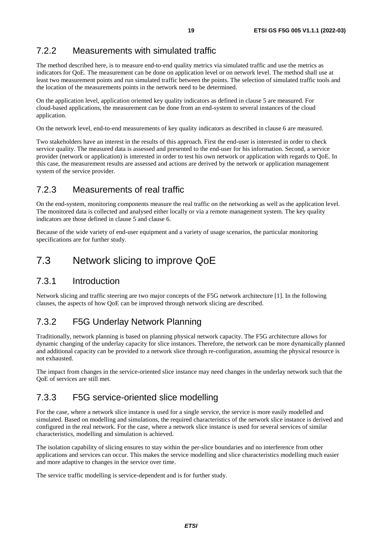## <span id="page-18-0"></span>7.2.2 Measurements with simulated traffic

The method described here, is to measure end-to-end quality metrics via simulated traffic and use the metrics as indicators for QoE. The measurement can be done on application level or on network level. The method shall use at least two measurement points and run simulated traffic between the points. The selection of simulated traffic tools and the location of the measurements points in the network need to be determined.

On the application level, application oriented key quality indicators as defined in clause 5 are measured. For cloud-based applications, the measurement can be done from an end-system to several instances of the cloud application.

On the network level, end-to-end measurements of key quality indicators as described in clause 6 are measured.

Two stakeholders have an interest in the results of this approach. First the end-user is interested in order to check service quality. The measured data is assessed and presented to the end-user for his information. Second, a service provider (network or application) is interested in order to test his own network or application with regards to QoE. In this case, the measurement results are assessed and actions are derived by the network or application management system of the service provider.

### 7.2.3 Measurements of real traffic

On the end-system, monitoring components measure the real traffic on the networking as well as the application level. The monitored data is collected and analysed either locally or via a remote management system. The key quality indicators are those defined in clause 5 and clause 6.

Because of the wide variety of end-user equipment and a variety of usage scenarios, the particular monitoring specifications are for further study.

## 7.3 Network slicing to improve QoE

### 7.3.1 Introduction

Network slicing and traffic steering are two major concepts of the F5G network architecture [\[1](#page-5-0)]. In the following clauses, the aspects of how QoE can be improved through network slicing are described.

## 7.3.2 F5G Underlay Network Planning

Traditionally, network planning is based on planning physical network capacity. The F5G architecture allows for dynamic changing of the underlay capacity for slice instances. Therefore, the network can be more dynamically planned and additional capacity can be provided to a network slice through re-configuration, assuming the physical resource is not exhausted.

The impact from changes in the service-oriented slice instance may need changes in the underlay network such that the QoE of services are still met.

## 7.3.3 F5G service-oriented slice modelling

For the case, where a network slice instance is used for a single service, the service is more easily modelled and simulated. Based on modelling and simulations, the required characteristics of the network slice instance is derived and configured in the real network. For the case, where a network slice instance is used for several services of similar characteristics, modelling and simulation is achieved.

The isolation capability of slicing ensures to stay within the per-slice boundaries and no interference from other applications and services can occur. This makes the service modelling and slice characteristics modelling much easier and more adaptive to changes in the service over time.

The service traffic modelling is service-dependent and is for further study.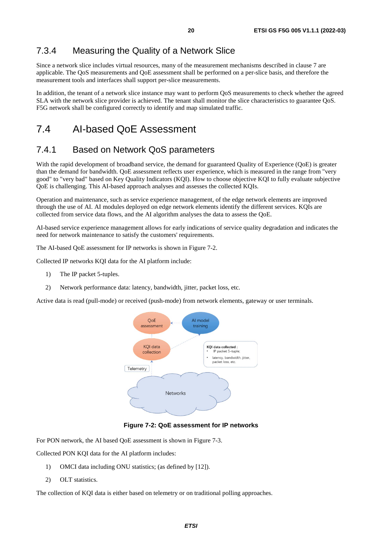### <span id="page-19-0"></span>7.3.4 Measuring the Quality of a Network Slice

Since a network slice includes virtual resources, many of the measurement mechanisms described in clause 7 are applicable. The QoS measurements and QoE assessment shall be performed on a per-slice basis, and therefore the measurement tools and interfaces shall support per-slice measurements.

In addition, the tenant of a network slice instance may want to perform QoS measurements to check whether the agreed SLA with the network slice provider is achieved. The tenant shall monitor the slice characteristics to guarantee QoS. F5G network shall be configured correctly to identify and map simulated traffic.

## 7.4 AI-based QoE Assessment

### 7.4.1 Based on Network QoS parameters

With the rapid development of broadband service, the demand for guaranteed Quality of Experience (QoE) is greater than the demand for bandwidth. QoE assessment reflects user experience, which is measured in the range from "very good" to "very bad" based on Key Quality Indicators (KQI). How to choose objective KQI to fully evaluate subjective QoE is challenging. This AI-based approach analyses and assesses the collected KQIs.

Operation and maintenance, such as service experience management, of the edge network elements are improved through the use of AI. AI modules deployed on edge network elements identify the different services. KQIs are collected from service data flows, and the AI algorithm analyses the data to assess the QoE.

AI-based service experience management allows for early indications of service quality degradation and indicates the need for network maintenance to satisfy the customers' requirements.

The AI-based QoE assessment for IP networks is shown in Figure 7-2.

Collected IP networks KQI data for the AI platform include:

- 1) The IP packet 5-tuples.
- 2) Network performance data: latency, bandwidth, jitter, packet loss, etc.

Active data is read (pull-mode) or received (push-mode) from network elements, gateway or user terminals.



#### **Figure 7-2: QoE assessment for IP networks**

For PON network, the AI based QoE assessment is shown in Figure 7-3.

Collected PON KQI data for the AI platform includes:

- 1) OMCI data including ONU statistics; (as defined by [\[12](#page-5-0)]).
- 2) OLT statistics.

The collection of KQI data is either based on telemetry or on traditional polling approaches.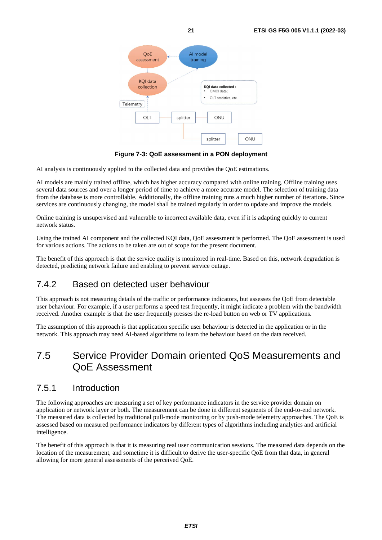<span id="page-20-0"></span>

**Figure 7-3: QoE assessment in a PON deployment** 

AI analysis is continuously applied to the collected data and provides the QoE estimations.

AI models are mainly trained offline, which has higher accuracy compared with online training. Offline training uses several data sources and over a longer period of time to achieve a more accurate model. The selection of training data from the database is more controllable. Additionally, the offline training runs a much higher number of iterations. Since services are continuously changing, the model shall be trained regularly in order to update and improve the models.

Online training is unsupervised and vulnerable to incorrect available data, even if it is adapting quickly to current network status.

Using the trained AI component and the collected KQI data, QoE assessment is performed. The QoE assessment is used for various actions. The actions to be taken are out of scope for the present document.

The benefit of this approach is that the service quality is monitored in real-time. Based on this, network degradation is detected, predicting network failure and enabling to prevent service outage.

## 7.4.2 Based on detected user behaviour

This approach is not measuring details of the traffic or performance indicators, but assesses the QoE from detectable user behaviour. For example, if a user performs a speed test frequently, it might indicate a problem with the bandwidth received. Another example is that the user frequently presses the re-load button on web or TV applications.

The assumption of this approach is that application specific user behaviour is detected in the application or in the network. This approach may need AI-based algorithms to learn the behaviour based on the data received.

## 7.5 Service Provider Domain oriented QoS Measurements and QoE Assessment

### 7.5.1 Introduction

The following approaches are measuring a set of key performance indicators in the service provider domain on application or network layer or both. The measurement can be done in different segments of the end-to-end network. The measured data is collected by traditional pull-mode monitoring or by push-mode telemetry approaches. The QoE is assessed based on measured performance indicators by different types of algorithms including analytics and artificial intelligence.

The benefit of this approach is that it is measuring real user communication sessions. The measured data depends on the location of the measurement, and sometime it is difficult to derive the user-specific QoE from that data, in general allowing for more general assessments of the perceived QoE.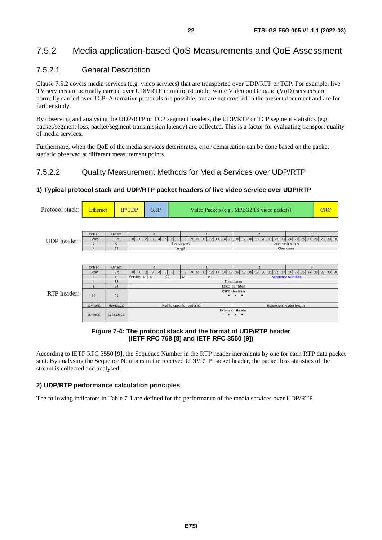## <span id="page-21-0"></span>7.5.2 Media application-based QoS Measurements and QoE Assessment

### 7.5.2.1 General Description

Clause 7.5.2 covers media services (e.g. video services) that are transported over UDP/RTP or TCP. For example, live TV services are normally carried over UDP/RTP in multicast mode, while Video on Demand (VoD) services are normally carried over TCP. Alternative protocols are possible, but are not covered in the present document and are for further study.

By observing and analysing the UDP/RTP or TCP segment headers, the UDP/RTP or TCP segment statistics (e.g. packet/segment loss, packet/segment transmission latency) are collected. This is a factor for evaluating transport quality of media services.

Furthermore, when the QoE of the media services deteriorates, error demarcation can be done based on the packet statistic observed at different measurement points.

#### 7.5.2.2 Quality Measurement Methods for Media Services over UDP/RTP

#### Protocol stack: Ethernet  $IP/UDP$ **RTP** Video Packets (e.g., MPEG2 TS video packets) CRC Offset Octect 5 6 7 8 9 10 11 12 13 14 15 16 17 18 19 20 21 22 23 24 25 26 27 28 29 30 31 **UDP** header: Octet **Rit** ᆔ  $\overline{A}$  $\circ$  $\overline{0}$ Source port **Destination Port**  $\frac{1}{32}$ Length Charksum Offset Octect 9 10 11 12 13 14 15 16 17 18 19 20 21 22 23 24 25 26 27 28 29 30 31  $0 \quad 1$  $\overline{2}$  $4 5 6$ Octet Bit  $\overline{\mathbf{8}}$ Version P X M Seque  $\overline{a}$ 32 Timestamp SSRC identifier 64 CSRC identifies RTP header:  $12$ 96  $12+4xCC$ 96+32xCC Profile-specific header IO Extension header length **Extension Header**  $16 + 4 \times CC$ 128+32xCC

#### **1) Typical protocol stack and UDP/RTP packet headers of live video service over UDP/RTP**

#### **Figure 7-4: The protocol stack and the format of UDP/RTP header (IETF RFC 768 [\[8](#page-5-0)] and IETF RFC 3550 [\[9\]](#page-5-0))**

According to IETF RFC 3550 [\[9](#page-5-0)], the Sequence Number in the RTP header increments by one for each RTP data packet sent. By analysing the Sequence Numbers in the received UDP/RTP packet header, the packet loss statistics of the stream is collected and analysed.

#### **2) UDP/RTP performance calculation principles**

The following indicators in Table 7-1 are defined for the performance of the media services over UDP/RTP.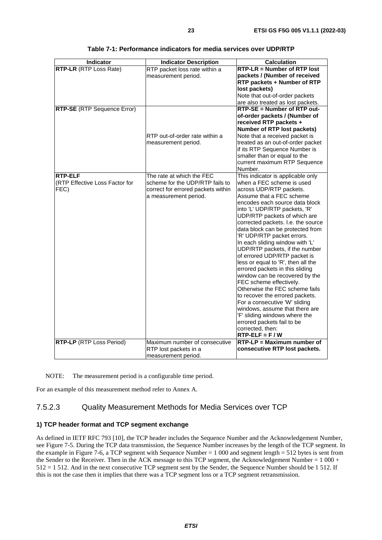<span id="page-22-0"></span>

| <b>Indicator Description</b>   | <b>Calculation</b>                                                                                                                                                                                                     |  |  |
|--------------------------------|------------------------------------------------------------------------------------------------------------------------------------------------------------------------------------------------------------------------|--|--|
|                                | RTP-LR = Number of RTP lost                                                                                                                                                                                            |  |  |
| measurement period.            | packets / (Number of received                                                                                                                                                                                          |  |  |
|                                | RTP packets + Number of RTP                                                                                                                                                                                            |  |  |
|                                | lost packets)                                                                                                                                                                                                          |  |  |
|                                | Note that out-of-order packets                                                                                                                                                                                         |  |  |
|                                | are also treated as lost packets.                                                                                                                                                                                      |  |  |
|                                | RTP-SE = Number of RTP out-                                                                                                                                                                                            |  |  |
|                                | of-order packets / (Number of                                                                                                                                                                                          |  |  |
|                                | received RTP packets +                                                                                                                                                                                                 |  |  |
|                                | Number of RTP lost packets)                                                                                                                                                                                            |  |  |
| RTP out-of-order rate within a | Note that a received packet is                                                                                                                                                                                         |  |  |
| measurement period.            | treated as an out-of-order packet                                                                                                                                                                                      |  |  |
|                                | if its RTP Sequence Number is                                                                                                                                                                                          |  |  |
|                                | smaller than or equal to the                                                                                                                                                                                           |  |  |
|                                | current maximum RTP Sequence                                                                                                                                                                                           |  |  |
|                                | Number.                                                                                                                                                                                                                |  |  |
|                                | This indicator is applicable only                                                                                                                                                                                      |  |  |
|                                | when a FEC scheme is used                                                                                                                                                                                              |  |  |
|                                | across UDP/RTP packets.                                                                                                                                                                                                |  |  |
|                                | Assume that a FEC scheme                                                                                                                                                                                               |  |  |
|                                | encodes each source data block                                                                                                                                                                                         |  |  |
|                                | into 'L' UDP/RTP packets, 'R'                                                                                                                                                                                          |  |  |
|                                | UDP/RTP packets of which are                                                                                                                                                                                           |  |  |
|                                | corrected packets. I.e. the source                                                                                                                                                                                     |  |  |
|                                | data block can be protected from                                                                                                                                                                                       |  |  |
|                                | 'R' UDP/RTP packet errors.<br>In each sliding window with 'L'                                                                                                                                                          |  |  |
|                                |                                                                                                                                                                                                                        |  |  |
|                                | UDP/RTP packets, if the number<br>of errored UDP/RTP packet is                                                                                                                                                         |  |  |
|                                | less or equal to 'R', then all the                                                                                                                                                                                     |  |  |
|                                | errored packets in this sliding                                                                                                                                                                                        |  |  |
|                                | window can be recovered by the                                                                                                                                                                                         |  |  |
|                                | FEC scheme effectively.                                                                                                                                                                                                |  |  |
|                                | Otherwise the FEC scheme fails                                                                                                                                                                                         |  |  |
|                                | to recover the errored packets.                                                                                                                                                                                        |  |  |
|                                | For a consecutive 'W' sliding                                                                                                                                                                                          |  |  |
|                                | windows, assume that there are                                                                                                                                                                                         |  |  |
|                                | 'F' sliding windows where the                                                                                                                                                                                          |  |  |
|                                | errored packets fail to be                                                                                                                                                                                             |  |  |
|                                | corrected, then:                                                                                                                                                                                                       |  |  |
|                                | $RTP-ELF = F/W$                                                                                                                                                                                                        |  |  |
|                                | $RTP-LP = Maximum$ number of                                                                                                                                                                                           |  |  |
|                                | consecutive RTP lost packets.                                                                                                                                                                                          |  |  |
| measurement period.            |                                                                                                                                                                                                                        |  |  |
|                                | RTP packet loss rate within a<br>The rate at which the FEC<br>scheme for the UDP/RTP fails to<br>correct for errored packets within<br>a measurement period.<br>Maximum number of consecutive<br>RTP lost packets in a |  |  |

| Table 7-1: Performance indicators for media services over UDP/RTP |  |
|-------------------------------------------------------------------|--|
|-------------------------------------------------------------------|--|

NOTE: The measurement period is a configurable time period.

For an example of this measurement method refer to Annex A.

#### 7.5.2.3 Quality Measurement Methods for Media Services over TCP

#### **1) TCP header format and TCP segment exchange**

As defined in IETF RFC 793 [\[10](#page-5-0)], the TCP header includes the Sequence Number and the Acknowledgement Number, see Figure 7-5. During the TCP data transmission, the Sequence Number increases by the length of the TCP segment. In the example in Figure 7-6, a TCP segment with Sequence Number = 1 000 and segment length = 512 bytes is sent from the Sender to the Receiver. Then in the ACK message to this TCP segment, the Acknowledgement Number = 1 000 + 512 = 1 512. And in the next consecutive TCP segment sent by the Sender, the Sequence Number should be 1 512. If this is not the case then it implies that there was a TCP segment loss or a TCP segment retransmission.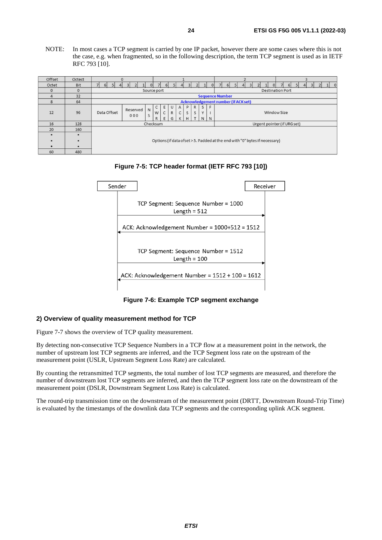NOTE: In most cases a TCP segment is carried by one IP packet, however there are some cases where this is not the case, e.g. when fragmented, so in the following description, the term TCP segment is used as in IETF RFC 793 [\[10](#page-5-0)].

| Offset         | Octect       | 0                                                                                                                                                                                                                       |          |  |  |                |    |  |  |               |  |                                     |  |
|----------------|--------------|-------------------------------------------------------------------------------------------------------------------------------------------------------------------------------------------------------------------------|----------|--|--|----------------|----|--|--|---------------|--|-------------------------------------|--|
| Octet          | <b>Bit</b>   | וח                                                                                                                                                                                                                      |          |  |  | 6 <sup>1</sup> | 5l |  |  | $\mathcal{D}$ |  | $\Omega$<br>61                      |  |
| $\mathbf{0}$   | $\mathbf{0}$ | Source port                                                                                                                                                                                                             |          |  |  |                |    |  |  |               |  | <b>Destination Port</b>             |  |
| $\overline{4}$ | 32           | <b>Sequence Number</b>                                                                                                                                                                                                  |          |  |  |                |    |  |  |               |  |                                     |  |
| 8              | 64           |                                                                                                                                                                                                                         |          |  |  |                |    |  |  |               |  | Acknowledgement number (if ACK set) |  |
| 12             | 96           | S<br>F<br>P<br>$\mathsf{R}$<br>A<br>C<br>Е<br>U<br>Reserved<br>N<br>$\mathsf{C}$<br>S<br>Data Offset<br>$\mathsf{R}$<br>S<br>Window Size<br>Y<br>C<br>W<br>S<br>000<br>T.<br>G<br>K<br>N<br>N<br>$\mathsf{R}$<br>E<br>H |          |  |  |                |    |  |  |               |  |                                     |  |
| 16             | 128          |                                                                                                                                                                                                                         | Checksum |  |  |                |    |  |  |               |  | Urgent pointer (if URG set)         |  |
| 20             | 160          |                                                                                                                                                                                                                         |          |  |  |                |    |  |  |               |  |                                     |  |
|                |              |                                                                                                                                                                                                                         |          |  |  |                |    |  |  |               |  |                                     |  |
| ٠              | $\bullet$    | Options (if data ofset > 5. Padded at the end with "0" bytes if necessary)                                                                                                                                              |          |  |  |                |    |  |  |               |  |                                     |  |
|                |              |                                                                                                                                                                                                                         |          |  |  |                |    |  |  |               |  |                                     |  |
| 60             | 480          |                                                                                                                                                                                                                         |          |  |  |                |    |  |  |               |  |                                     |  |





**Figure 7-6: Example TCP segment exchange** 

#### **2) Overview of quality measurement method for TCP**

Figure 7-7 shows the overview of TCP quality measurement.

By detecting non-consecutive TCP Sequence Numbers in a TCP flow at a measurement point in the network, the number of upstream lost TCP segments are inferred, and the TCP Segment loss rate on the upstream of the measurement point (USLR, Upstream Segment Loss Rate) are calculated.

By counting the retransmitted TCP segments, the total number of lost TCP segments are measured, and therefore the number of downstream lost TCP segments are inferred, and then the TCP segment loss rate on the downstream of the measurement point (DSLR, Downstream Segment Loss Rate) is calculated.

The round-trip transmission time on the downstream of the measurement point (DRTT, Downstream Round-Trip Time) is evaluated by the timestamps of the downlink data TCP segments and the corresponding uplink ACK segment.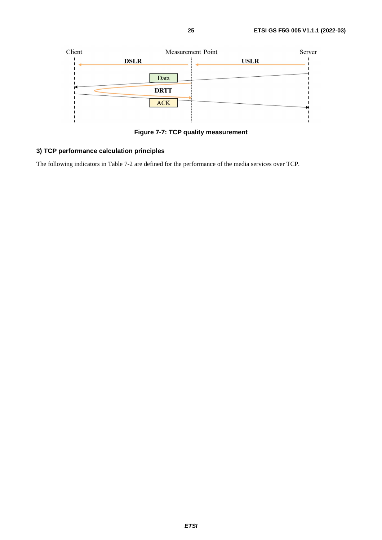

**Figure 7-7: TCP quality measurement** 

### **3) TCP performance calculation principles**

The following indicators in Table 7-2 are defined for the performance of the media services over TCP.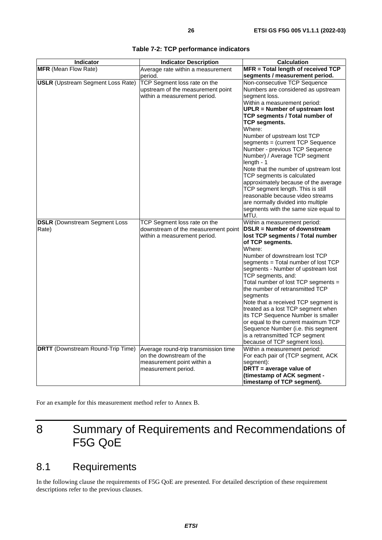<span id="page-25-0"></span>

| Indicator                                | <b>Indicator Description</b>         | <b>Calculation</b>                                                     |
|------------------------------------------|--------------------------------------|------------------------------------------------------------------------|
| <b>MFR</b> (Mean Flow Rate)              | Average rate within a measurement    | MFR = Total length of received TCP                                     |
|                                          | period.                              | segments / measurement period.                                         |
| <b>USLR</b> (Upstream Segment Loss Rate) | TCP Segment loss rate on the         | Non-consecutive TCP Sequence                                           |
|                                          | upstream of the measurement point    | Numbers are considered as upstream                                     |
|                                          | within a measurement period.         | segment loss.                                                          |
|                                          |                                      | Within a measurement period:                                           |
|                                          |                                      | <b>UPLR = Number of upstream lost</b>                                  |
|                                          |                                      | TCP segments / Total number of                                         |
|                                          |                                      | TCP segments.                                                          |
|                                          |                                      | Where:                                                                 |
|                                          |                                      | Number of upstream lost TCP                                            |
|                                          |                                      | segments = (current TCP Sequence<br>Number - previous TCP Sequence     |
|                                          |                                      | Number) / Average TCP segment                                          |
|                                          |                                      | length - 1                                                             |
|                                          |                                      | Note that the number of upstream lost                                  |
|                                          |                                      | TCP segments is calculated                                             |
|                                          |                                      | approximately because of the average                                   |
|                                          |                                      | TCP segment length. This is still                                      |
|                                          |                                      | reasonable because video streams<br>are normally divided into multiple |
|                                          |                                      | segments with the same size equal to                                   |
|                                          |                                      | MTU.                                                                   |
| <b>DSLR</b> (Downstream Segment Loss     | TCP Segment loss rate on the         | Within a measurement period:                                           |
| Rate)                                    | downstream of the measurement point  | DSLR = Number of downstream                                            |
|                                          | within a measurement period.         | lost TCP segments / Total number                                       |
|                                          |                                      | of TCP segments.                                                       |
|                                          |                                      | Where:                                                                 |
|                                          |                                      | Number of downstream lost TCP<br>segments = Total number of lost TCP   |
|                                          |                                      | segments - Number of upstream lost                                     |
|                                          |                                      | TCP segments, and:                                                     |
|                                          |                                      | Total number of lost TCP segments =                                    |
|                                          |                                      | the number of retransmitted TCP                                        |
|                                          |                                      | segments                                                               |
|                                          |                                      | Note that a received TCP segment is                                    |
|                                          |                                      | treated as a lost TCP segment when                                     |
|                                          |                                      | its TCP Sequence Number is smaller                                     |
|                                          |                                      | or equal to the current maximum TCP                                    |
|                                          |                                      | Sequence Number (i.e. this segment                                     |
|                                          |                                      | is a retransmitted TCP segment                                         |
|                                          |                                      | because of TCP segment loss).                                          |
| <b>DRTT</b> (Downstream Round-Trip Time) | Average round-trip transmission time | Within a measurement period:                                           |
|                                          | on the downstream of the             | For each pair of (TCP segment, ACK                                     |
|                                          | measurement point within a           | segment):                                                              |
|                                          | measurement period.                  | DRTT = average value of                                                |
|                                          |                                      | (timestamp of ACK segment -                                            |
|                                          |                                      | timestamp of TCP segment).                                             |

|  |  | Table 7-2: TCP performance indicators |  |
|--|--|---------------------------------------|--|
|--|--|---------------------------------------|--|

For an example for this measurement method refer to Annex B.

## 8 Summary of Requirements and Recommendations of F5G QoE

## 8.1 Requirements

In the following clause the requirements of F5G QoE are presented. For detailed description of these requirement descriptions refer to the previous clauses.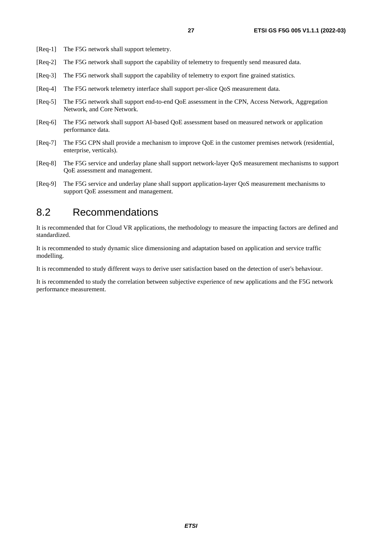- <span id="page-26-0"></span>[Req-1] The F5G network shall support telemetry.
- [Req-2] The F5G network shall support the capability of telemetry to frequently send measured data.
- [Req-3] The F5G network shall support the capability of telemetry to export fine grained statistics.
- [Req-4] The F5G network telemetry interface shall support per-slice QoS measurement data.
- [Req-5] The F5G network shall support end-to-end QoE assessment in the CPN, Access Network, Aggregation Network, and Core Network.
- [Req-6] The F5G network shall support AI-based QoE assessment based on measured network or application performance data.
- [Req-7] The F5G CPN shall provide a mechanism to improve QoE in the customer premises network (residential, enterprise, verticals).
- [Req-8] The F5G service and underlay plane shall support network-layer QoS measurement mechanisms to support QoE assessment and management.
- [Req-9] The F5G service and underlay plane shall support application-layer QoS measurement mechanisms to support QoE assessment and management.

## 8.2 Recommendations

It is recommended that for Cloud VR applications, the methodology to measure the impacting factors are defined and standardized.

It is recommended to study dynamic slice dimensioning and adaptation based on application and service traffic modelling.

It is recommended to study different ways to derive user satisfaction based on the detection of user's behaviour.

It is recommended to study the correlation between subjective experience of new applications and the F5G network performance measurement.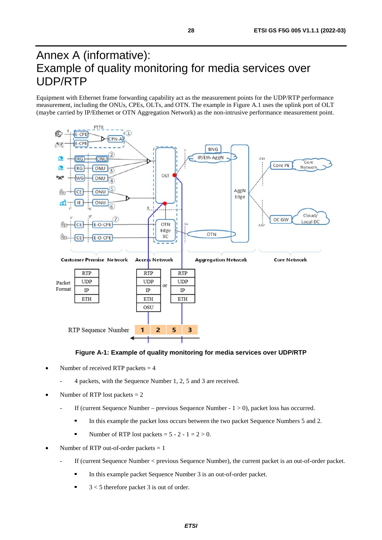## <span id="page-27-0"></span>Annex A (informative): Example of quality monitoring for media services over UDP/RTP

Equipment with Ethernet frame forwarding capability act as the measurement points for the UDP/RTP performance measurement, including the ONUs, CPEs, OLTs, and OTN. The example in Figure A.1 uses the uplink port of OLT (maybe carried by IP/Ethernet or OTN Aggregation Network) as the non-intrusive performance measurement point.



#### **Figure A-1: Example of quality monitoring for media services over UDP/RTP**

- Number of received RTP packets  $= 4$ 
	- 4 packets, with the Sequence Number 1, 2, 5 and 3 are received.
- Number of RTP lost packets  $= 2$ 
	- If (current Sequence Number previous Sequence Number  $1 > 0$ ), packet loss has occurred.
		- In this example the packet loss occurs between the two packet Sequence Numbers 5 and 2.
		- Number of RTP lost packets =  $5 2 1 = 2 > 0$ .
- Number of RTP out-of-order packets = 1
	- If (current Sequence Number < previous Sequence Number), the current packet is an out-of-order packet.
		- In this example packet Sequence Number 3 is an out-of-order packet.
		- 3 < 5 therefore packet 3 is out of order.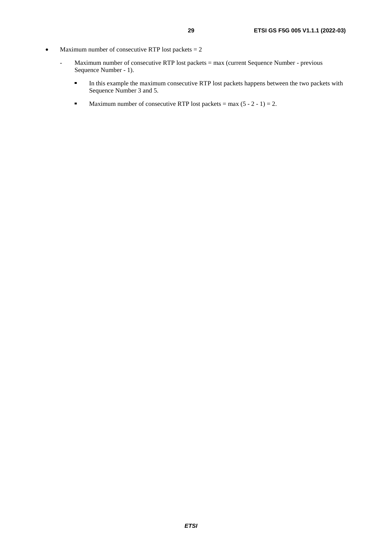- Maximum number of consecutive RTP lost packets  $= 2$ 
	- Maximum number of consecutive RTP lost packets = max (current Sequence Number previous Sequence Number - 1).
		- In this example the maximum consecutive RTP lost packets happens between the two packets with Sequence Number 3 and 5.
		- Maximum number of consecutive RTP lost packets = max  $(5 2 1) = 2$ .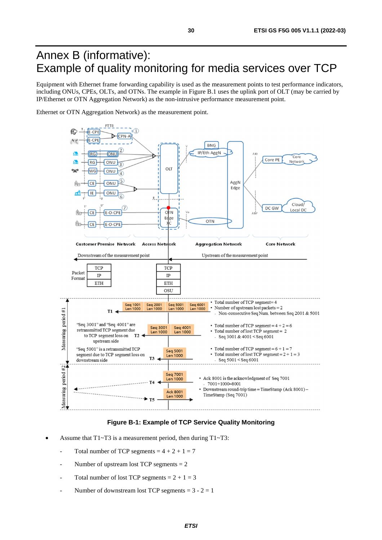## <span id="page-29-0"></span>Annex B (informative): Example of quality monitoring for media services over TCP

Equipment with Ethernet frame forwarding capability is used as the measurement points to test performance indicators, including ONUs, CPEs, OLTs, and OTNs. The example in Figure B.1 uses the uplink port of OLT (may be carried by IP/Ethernet or OTN Aggregation Network) as the non-intrusive performance measurement point.

Ethernet or OTN Aggregation Network) as the measurement point.



#### **Figure B-1: Example of TCP Service Quality Monitoring**

- Assume that  $T1~T3$  is a measurement period, then during  $T1~T3$ :
	- Total number of TCP segments =  $4 + 2 + 1 = 7$
	- Number of upstream lost TCP segments  $= 2$
	- Total number of lost TCP segments  $= 2 + 1 = 3$
	- Number of downstream lost TCP segments =  $3 2 = 1$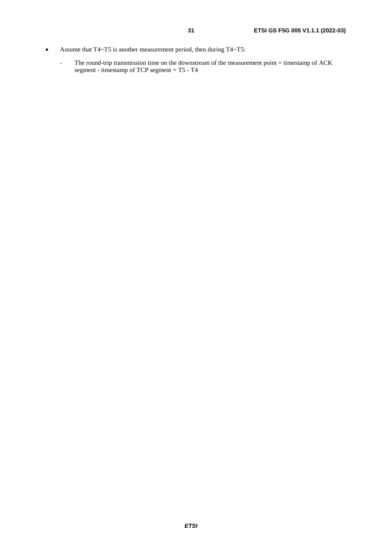- Assume that T4~T5 is another measurement period, then during T4~T5:
	- The round-trip transmission time on the downstream of the measurement point = timestamp of ACK segment - timestamp of TCP segment = T5 - T4